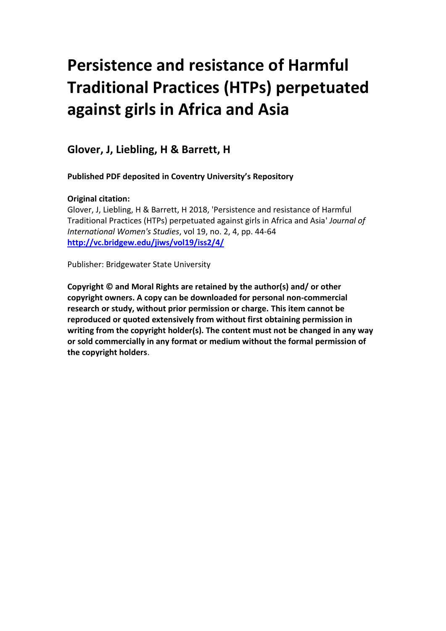# **Persistence and resistance of Harmful Traditional Practices (HTPs) perpetuated against girls in Africa and Asia**

**Glover, J, Liebling, H & Barrett, H**

**Published PDF deposited in Coventry University's Repository**

# **Original citation:**

Glover, J, Liebling, H & Barrett, H 2018, 'Persistence and resistance of Harmful Traditional Practices (HTPs) perpetuated against girls in Africa and Asia' *Journal of International Women's Studies*, vol 19, no. 2, 4, pp. 44-64 **<http://vc.bridgew.edu/jiws/vol19/iss2/4/>**

Publisher: Bridgewater State University

**Copyright © and Moral Rights are retained by the author(s) and/ or other copyright owners. A copy can be downloaded for personal non-commercial research or study, without prior permission or charge. This item cannot be reproduced or quoted extensively from without first obtaining permission in writing from the copyright holder(s). The content must not be changed in any way or sold commercially in any format or medium without the formal permission of the copyright holders**.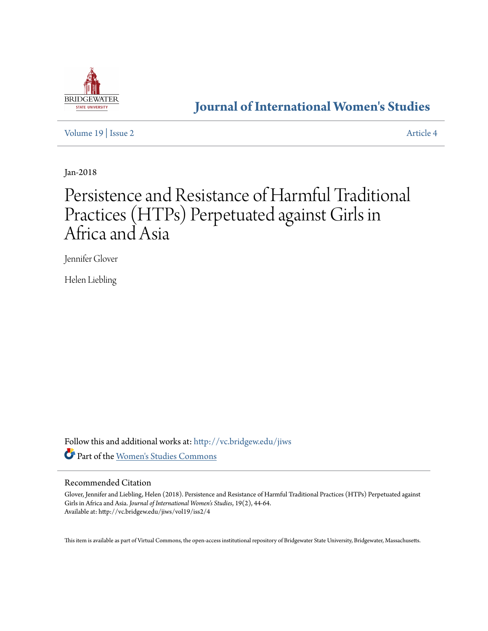

# **[Journal of International Women's Studies](http://vc.bridgew.edu/jiws?utm_source=vc.bridgew.edu%2Fjiws%2Fvol19%2Fiss2%2F4&utm_medium=PDF&utm_campaign=PDFCoverPages)**

[Volume 19](http://vc.bridgew.edu/jiws/vol19?utm_source=vc.bridgew.edu%2Fjiws%2Fvol19%2Fiss2%2F4&utm_medium=PDF&utm_campaign=PDFCoverPages) | [Issue 2](http://vc.bridgew.edu/jiws/vol19/iss2?utm_source=vc.bridgew.edu%2Fjiws%2Fvol19%2Fiss2%2F4&utm_medium=PDF&utm_campaign=PDFCoverPages) [Article 4](http://vc.bridgew.edu/jiws/vol19/iss2/4?utm_source=vc.bridgew.edu%2Fjiws%2Fvol19%2Fiss2%2F4&utm_medium=PDF&utm_campaign=PDFCoverPages)

Jan-2018

# Persistence and Resistance of Harmful Traditional Practices (HTPs) Perpetuated against Girls in Africa and Asia

Jennifer Glover

Helen Liebling

Follow this and additional works at: [http://vc.bridgew.edu/jiws](http://vc.bridgew.edu/jiws?utm_source=vc.bridgew.edu%2Fjiws%2Fvol19%2Fiss2%2F4&utm_medium=PDF&utm_campaign=PDFCoverPages) Part of the [Women's Studies Commons](http://network.bepress.com/hgg/discipline/561?utm_source=vc.bridgew.edu%2Fjiws%2Fvol19%2Fiss2%2F4&utm_medium=PDF&utm_campaign=PDFCoverPages)

#### Recommended Citation

Glover, Jennifer and Liebling, Helen (2018). Persistence and Resistance of Harmful Traditional Practices (HTPs) Perpetuated against Girls in Africa and Asia. *Journal of International Women's Studies*, 19(2), 44-64. Available at: http://vc.bridgew.edu/jiws/vol19/iss2/4

This item is available as part of Virtual Commons, the open-access institutional repository of Bridgewater State University, Bridgewater, Massachusetts.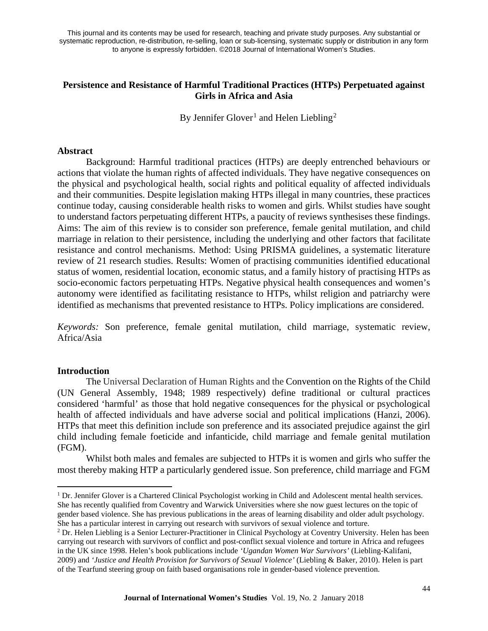# **Persistence and Resistance of Harmful Traditional Practices (HTPs) Perpetuated against Girls in Africa and Asia**

By Jennifer Glover<sup>[1](#page-2-0)</sup> and Helen Liebling<sup>[2](#page-2-1)</sup>

## **Abstract**

Background: Harmful traditional practices (HTPs) are deeply entrenched behaviours or actions that violate the human rights of affected individuals. They have negative consequences on the physical and psychological health, social rights and political equality of affected individuals and their communities. Despite legislation making HTPs illegal in many countries, these practices continue today, causing considerable health risks to women and girls. Whilst studies have sought to understand factors perpetuating different HTPs, a paucity of reviews synthesises these findings. Aims: The aim of this review is to consider son preference, female genital mutilation, and child marriage in relation to their persistence, including the underlying and other factors that facilitate resistance and control mechanisms. Method: Using PRISMA guidelines, a systematic literature review of 21 research studies. Results: Women of practising communities identified educational status of women, residential location, economic status, and a family history of practising HTPs as socio-economic factors perpetuating HTPs. Negative physical health consequences and women's autonomy were identified as facilitating resistance to HTPs, whilst religion and patriarchy were identified as mechanisms that prevented resistance to HTPs. Policy implications are considered.

*Keywords:* Son preference, female genital mutilation, child marriage, systematic review, Africa/Asia

## **Introduction**

 $\overline{a}$ 

The Universal Declaration of Human Rights and the Convention on the Rights of the Child (UN General Assembly, 1948; 1989 respectively) define traditional or cultural practices considered 'harmful' as those that hold negative consequences for the physical or psychological health of affected individuals and have adverse social and political implications (Hanzi, 2006). HTPs that meet this definition include son preference and its associated prejudice against the girl child including female foeticide and infanticide, child marriage and female genital mutilation (FGM).

Whilst both males and females are subjected to HTPs it is women and girls who suffer the most thereby making HTP a particularly gendered issue. Son preference, child marriage and FGM

<span id="page-2-0"></span><sup>&</sup>lt;sup>1</sup> Dr. Jennifer Glover is a Chartered Clinical Psychologist working in Child and Adolescent mental health services. She has recently qualified from Coventry and Warwick Universities where she now guest lectures on the topic of gender based violence. She has previous publications in the areas of learning disability and older adult psychology. She has a particular interest in carrying out research with survivors of sexual violence and torture.

<span id="page-2-1"></span><sup>2</sup> Dr. Helen Liebling is a Senior Lecturer-Practitioner in Clinical Psychology at Coventry University. Helen has been carrying out research with survivors of conflict and post-conflict sexual violence and torture in Africa and refugees in the UK since 1998. Helen's book publications include *'Ugandan Women War Survivors'* (Liebling-Kalifani, 2009) and *'Justice and Health Provision for Survivors of Sexual Violence'* (Liebling & Baker, 2010). Helen is part of the Tearfund steering group on faith based organisations role in gender-based violence prevention.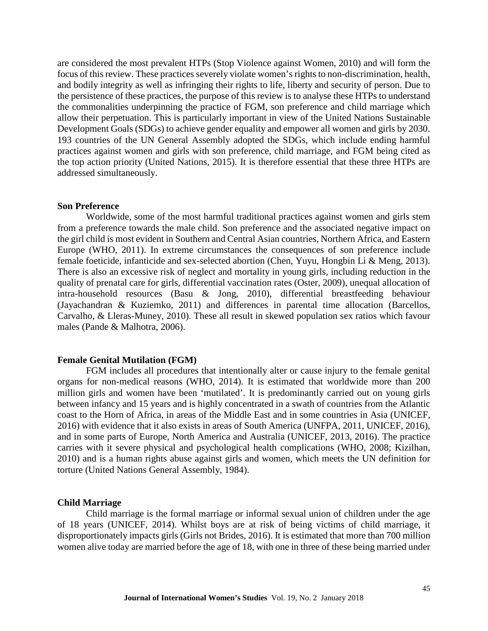are considered the most prevalent HTPs (Stop Violence against Women, 2010) and will form the focus of this review. These practices severely violate women's rights to non-discrimination, health, and bodily integrity as well as infringing their rights to life, liberty and security of person. Due to the persistence of these practices, the purpose of this review is to analyse these HTPs to understand the commonalities underpinning the practice of FGM, son preference and child marriage which allow their perpetuation. This is particularly important in view of the United Nations Sustainable Development Goals (SDGs) to achieve gender equality and empower all women and girls by 2030. 193 countries of the UN General Assembly adopted the SDGs, which include ending harmful practices against women and girls with son preference, child marriage, and FGM being cited as the top action priority (United Nations, 2015). It is therefore essential that these three HTPs are addressed simultaneously.

#### **Son Preference**

Worldwide, some of the most harmful traditional practices against women and girls stem from a preference towards the male child. Son preference and the associated negative impact on the girl child is most evident in Southern and Central Asian countries, Northern Africa, and Eastern Europe (WHO, 2011). In extreme circumstances the consequences of son preference include female foeticide, infanticide and sex-selected abortion (Chen, Yuyu, Hongbin Li & Meng, 2013). There is also an excessive risk of neglect and mortality in young girls, including reduction in the quality of prenatal care for girls, differential vaccination rates (Oster, 2009), unequal allocation of intra-household resources (Basu & Jong, 2010), differential breastfeeding behaviour (Jayachandran & Kuziemko, 2011) and differences in parental time allocation (Barcellos, Carvalho, & Lleras-Muney, 2010). These all result in skewed population sex ratios which favour males (Pande & Malhotra, 2006).

#### **Female Genital Mutilation (FGM)**

FGM includes all procedures that intentionally alter or cause injury to the female genital organs for non-medical reasons (WHO, 2014). It is estimated that worldwide more than 200 million girls and women have been 'mutilated'. It is predominantly carried out on young girls between infancy and 15 years and is highly concentrated in a swath of countries from the Atlantic coast to the Horn of Africa, in areas of the Middle East and in some countries in Asia (UNICEF, 2016) with evidence that it also exists in areas of South America (UNFPA, 2011, UNICEF, 2016), and in some parts of Europe, North America and Australia (UNICEF, 2013, 2016). The practice carries with it severe physical and psychological health complications (WHO, 2008; Kizilhan, 2010) and is a human rights abuse against girls and women, which meets the UN definition for torture (United Nations General Assembly, 1984).

#### **Child Marriage**

Child marriage is the formal marriage or informal sexual union of children under the age of 18 years (UNICEF, 2014). Whilst boys are at risk of being victims of child marriage, it disproportionately impacts girls (Girls not Brides, 2016). It is estimated that more than 700 million women alive today are married before the age of 18, with one in three of these being married under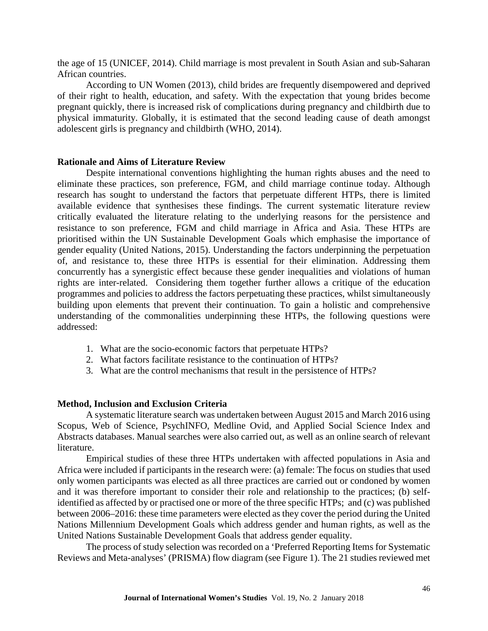the age of 15 (UNICEF, 2014). Child marriage is most prevalent in South Asian and sub-Saharan African countries.

According to UN Women (2013), child brides are frequently disempowered and deprived of their right to health, education, and safety. With the expectation that young brides become pregnant quickly, there is increased risk of complications during pregnancy and childbirth due to physical immaturity. Globally, it is estimated that the second leading cause of death amongst adolescent girls is pregnancy and childbirth (WHO, 2014).

#### **Rationale and Aims of Literature Review**

Despite international conventions highlighting the human rights abuses and the need to eliminate these practices, son preference, FGM, and child marriage continue today. Although research has sought to understand the factors that perpetuate different HTPs, there is limited available evidence that synthesises these findings. The current systematic literature review critically evaluated the literature relating to the underlying reasons for the persistence and resistance to son preference, FGM and child marriage in Africa and Asia. These HTPs are prioritised within the UN Sustainable Development Goals which emphasise the importance of gender equality (United Nations, 2015). Understanding the factors underpinning the perpetuation of, and resistance to, these three HTPs is essential for their elimination. Addressing them concurrently has a synergistic effect because these gender inequalities and violations of human rights are inter-related. Considering them together further allows a critique of the education programmes and policies to address the factors perpetuating these practices, whilst simultaneously building upon elements that prevent their continuation. To gain a holistic and comprehensive understanding of the commonalities underpinning these HTPs, the following questions were addressed:

- 1. What are the socio-economic factors that perpetuate HTPs?
- 2. What factors facilitate resistance to the continuation of HTPs?
- 3. What are the control mechanisms that result in the persistence of HTPs?

#### **Method, Inclusion and Exclusion Criteria**

A systematic literature search was undertaken between August 2015 and March 2016 using Scopus, Web of Science, PsychINFO, Medline Ovid, and Applied Social Science Index and Abstracts databases. Manual searches were also carried out, as well as an online search of relevant literature.

Empirical studies of these three HTPs undertaken with affected populations in Asia and Africa were included if participants in the research were: (a) female: The focus on studies that used only women participants was elected as all three practices are carried out or condoned by women and it was therefore important to consider their role and relationship to the practices; (b) selfidentified as affected by or practised one or more of the three specific HTPs; and (c) was published between 2006–2016: these time parameters were elected as they cover the period during the United Nations Millennium Development Goals which address gender and human rights, as well as the United Nations Sustainable Development Goals that address gender equality.

The process of study selection was recorded on a 'Preferred Reporting Items for Systematic Reviews and Meta-analyses' (PRISMA) flow diagram (see Figure 1). The 21 studies reviewed met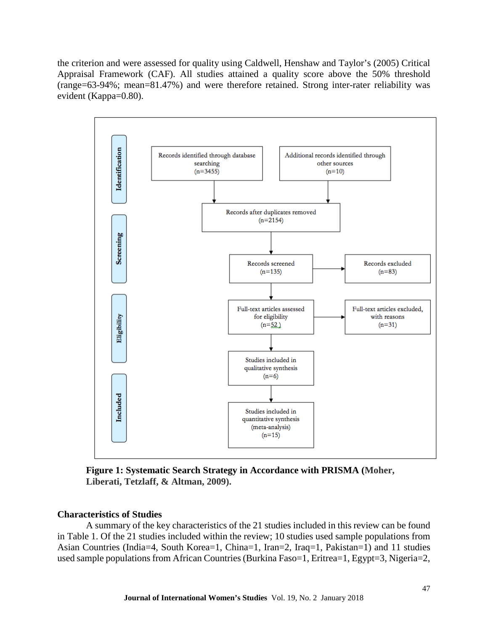the criterion and were assessed for quality using Caldwell, Henshaw and Taylor's (2005) Critical Appraisal Framework (CAF). All studies attained a quality score above the 50% threshold (range=63-94%; mean=81.47%) and were therefore retained. Strong inter-rater reliability was evident (Kappa=0.80).



**Figure 1: Systematic Search Strategy in Accordance with PRISMA (Moher, Liberati, Tetzlaff, & Altman, 2009).**

#### **Characteristics of Studies**

A summary of the key characteristics of the 21 studies included in this review can be found in Table 1. Of the 21 studies included within the review; 10 studies used sample populations from Asian Countries (India=4, South Korea=1, China=1, Iran=2, Iraq=1, Pakistan=1) and 11 studies used sample populations from African Countries (Burkina Faso=1, Eritrea=1, Egypt=3, Nigeria=2,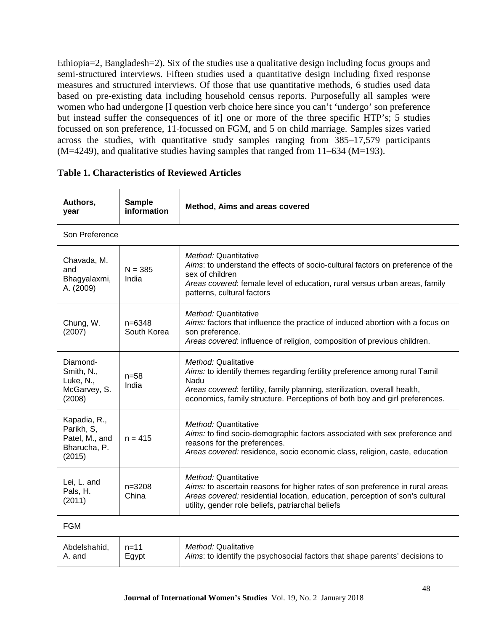Ethiopia=2, Bangladesh=2). Six of the studies use a qualitative design including focus groups and semi-structured interviews. Fifteen studies used a quantitative design including fixed response measures and structured interviews. Of those that use quantitative methods, 6 studies used data based on pre-existing data including household census reports. Purposefully all samples were women who had undergone [I question verb choice here since you can't 'undergo' son preference but instead suffer the consequences of it] one or more of the three specific HTP's; 5 studies focussed on son preference, 11 focussed on FGM, and 5 on child marriage. Samples sizes varied across the studies, with quantitative study samples ranging from 385–17,579 participants  $(M=4249)$ , and qualitative studies having samples that ranged from 11–634 (M=193).

|            | Authors,<br>year                                                       | <b>Sample</b><br>information | Method, Aims and areas covered                                                                                                                                                                                                                                      |  |
|------------|------------------------------------------------------------------------|------------------------------|---------------------------------------------------------------------------------------------------------------------------------------------------------------------------------------------------------------------------------------------------------------------|--|
|            | Son Preference                                                         |                              |                                                                                                                                                                                                                                                                     |  |
|            | Chavada, M.<br>and<br>Bhagyalaxmi,<br>A. (2009)                        | $N = 385$<br>India           | Method: Quantitative<br>Aims: to understand the effects of socio-cultural factors on preference of the<br>sex of children<br>Areas covered: female level of education, rural versus urban areas, family<br>patterns, cultural factors                               |  |
|            | Chung, W.<br>(2007)                                                    | $n=6348$<br>South Korea      | Method: Quantitative<br>Aims: factors that influence the practice of induced abortion with a focus on<br>son preference.<br>Areas covered: influence of religion, composition of previous children.                                                                 |  |
|            | Diamond-<br>Smith, N.,<br>Luke, N.,<br>McGarvey, S.<br>(2008)          | $n = 58$<br>India            | Method: Qualitative<br>Aims: to identify themes regarding fertility preference among rural Tamil<br>Nadu<br>Areas covered: fertility, family planning, sterilization, overall health,<br>economics, family structure. Perceptions of both boy and girl preferences. |  |
|            | Kapadia, R.,<br>Parikh, S,<br>Patel, M., and<br>Bharucha, P.<br>(2015) | $n = 415$                    | Method: Quantitative<br>Aims: to find socio-demographic factors associated with sex preference and<br>reasons for the preferences.<br>Areas covered: residence, socio economic class, religion, caste, education                                                    |  |
|            | Lei, L. and<br>Pals, H.<br>(2011)                                      | $n = 3208$<br>China          | Method: Quantitative<br>Aims: to ascertain reasons for higher rates of son preference in rural areas<br>Areas covered: residential location, education, perception of son's cultural<br>utility, gender role beliefs, patriarchal beliefs                           |  |
| <b>FGM</b> |                                                                        |                              |                                                                                                                                                                                                                                                                     |  |
|            | Abdelshahid.                                                           | $n = 11$                     | Method: Qualitative                                                                                                                                                                                                                                                 |  |

# **Table 1. Characteristics of Reviewed Articles**

A. and

Egypt

*Aims*: to identify the psychosocial factors that shape parents' decisions to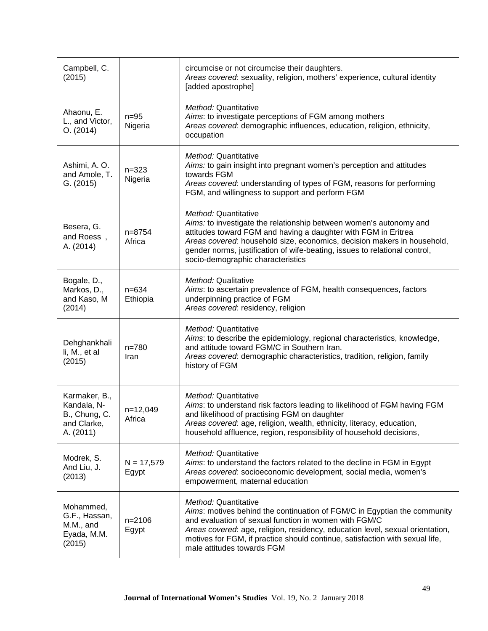| Campbell, C.<br>(2015)                                                    |                       | circumcise or not circumcise their daughters.<br>Areas covered: sexuality, religion, mothers' experience, cultural identity<br>[added apostrophe]                                                                                                                                                                                                          |
|---------------------------------------------------------------------------|-----------------------|------------------------------------------------------------------------------------------------------------------------------------------------------------------------------------------------------------------------------------------------------------------------------------------------------------------------------------------------------------|
| Ahaonu, E.<br>L., and Victor,<br>O. (2014)                                | $n=95$<br>Nigeria     | Method: Quantitative<br>Aims: to investigate perceptions of FGM among mothers<br>Areas covered: demographic influences, education, religion, ethnicity,<br>occupation                                                                                                                                                                                      |
| Ashimi, A.O.<br>and Amole, T.<br>G. (2015)                                | $n = 323$<br>Nigeria  | Method: Quantitative<br>Aims: to gain insight into pregnant women's perception and attitudes<br>towards FGM<br>Areas covered: understanding of types of FGM, reasons for performing<br>FGM, and willingness to support and perform FGM                                                                                                                     |
| Besera, G.<br>and Roess,<br>A. (2014)                                     | $n = 8754$<br>Africa  | Method: Quantitative<br>Aims: to investigate the relationship between women's autonomy and<br>attitudes toward FGM and having a daughter with FGM in Eritrea<br>Areas covered: household size, economics, decision makers in household,<br>gender norms, justification of wife-beating, issues to relational control,<br>socio-demographic characteristics |
| Bogale, D.,<br>Markos, D.,<br>and Kaso, M<br>(2014)                       | $n = 634$<br>Ethiopia | Method: Qualitative<br>Aims: to ascertain prevalence of FGM, health consequences, factors<br>underpinning practice of FGM<br>Areas covered: residency, religion                                                                                                                                                                                            |
| Dehghankhali<br>li, M., et al<br>(2015)                                   | $n = 780$<br>Iran     | Method: Quantitative<br>Aims: to describe the epidemiology, regional characteristics, knowledge,<br>and attitude toward FGM/C in Southern Iran.<br>Areas covered: demographic characteristics, tradition, religion, family<br>history of FGM                                                                                                               |
| Karmaker, B.,<br>Kandala, N-<br>B., Chung, C.<br>and Clarke,<br>A. (2011) | n=12,049<br>Africa    | Method: Quantitative<br>Aims: to understand risk factors leading to likelihood of FGM having FGM<br>and likelihood of practising FGM on daughter<br>Areas covered: age, religion, wealth, ethnicity, literacy, education,<br>household affluence, region, responsibility of household decisions,                                                           |
| Modrek, S.<br>And Liu, J.<br>(2013)                                       | $N = 17,579$<br>Egypt | Method: Quantitative<br>Aims: to understand the factors related to the decline in FGM in Egypt<br>Areas covered: socioeconomic development, social media, women's<br>empowerment, maternal education                                                                                                                                                       |
| Mohammed,<br>G.F., Hassan,<br>M.M., and<br>Eyada, M.M.<br>(2015)          | $n = 2106$<br>Egypt   | Method: Quantitative<br>Aims: motives behind the continuation of FGM/C in Egyptian the community<br>and evaluation of sexual function in women with FGM/C<br>Areas covered: age, religion, residency, education level, sexual orientation,<br>motives for FGM, if practice should continue, satisfaction with sexual life,<br>male attitudes towards FGM   |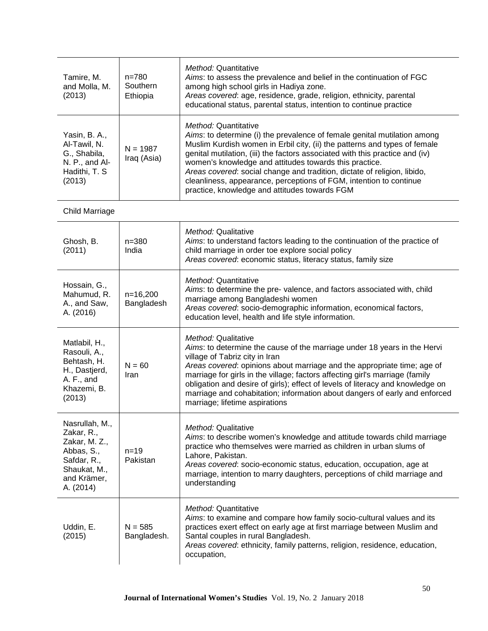| Tamire, M.<br>and Molla, M.<br>(2013)                                                                                  | $n = 780$<br>Southern<br>Ethiopia | <i>Method:</i> Quantitative<br>Aims: to assess the prevalence and belief in the continuation of FGC<br>among high school girls in Hadiya zone.<br>Areas covered: age, residence, grade, religion, ethnicity, parental<br>educational status, parental status, intention to continue practice                                                                                                                                                                                                                                      |
|------------------------------------------------------------------------------------------------------------------------|-----------------------------------|-----------------------------------------------------------------------------------------------------------------------------------------------------------------------------------------------------------------------------------------------------------------------------------------------------------------------------------------------------------------------------------------------------------------------------------------------------------------------------------------------------------------------------------|
| Yasin, B. A.,<br>Al-Tawil, N.<br>G., Shabila,<br>N. P., and Al-<br>Hadithi, T. S.<br>(2013)                            | $N = 1987$<br>Iraq (Asia)         | <i>Method:</i> Quantitative<br>Aims: to determine (i) the prevalence of female genital mutilation among<br>Muslim Kurdish women in Erbil city, (ii) the patterns and types of female<br>genital mutilation, (iii) the factors associated with this practice and (iv)<br>women's knowledge and attitudes towards this practice.<br>Areas covered: social change and tradition, dictate of religion, libido,<br>cleanliness, appearance, perceptions of FGM, intention to continue<br>practice, knowledge and attitudes towards FGM |
| Child Marriage                                                                                                         |                                   |                                                                                                                                                                                                                                                                                                                                                                                                                                                                                                                                   |
| Ghosh, B.<br>(2011)                                                                                                    | $n = 380$<br>India                | Method: Qualitative<br>Aims: to understand factors leading to the continuation of the practice of<br>child marriage in order toe explore social policy<br>Areas covered: economic status, literacy status, family size                                                                                                                                                                                                                                                                                                            |
| Hossain, G.,<br>Mahumud, R.<br>A., and Saw,<br>A. (2016)                                                               | $n=16,200$<br>Bangladesh          | Method: Quantitative<br>Aims: to determine the pre- valence, and factors associated with, child<br>marriage among Bangladeshi women<br>Areas covered: socio-demographic information, economical factors,<br>education level, health and life style information.                                                                                                                                                                                                                                                                   |
| Matlabil, H.,<br>Rasouli, A.,<br>Behtash, H.<br>H., Dastjerd,<br>A. F., and<br>Khazemi, B.<br>(2013)                   | $N = 60$<br>Iran                  | Method: Qualitative<br>Aims: to determine the cause of the marriage under 18 years in the Hervi<br>village of Tabriz city in Iran<br>Areas covered: opinions about marriage and the appropriate time; age of<br>marriage for girls in the village; factors affecting girl's marriage (family<br>obligation and desire of girls); effect of levels of literacy and knowledge on<br>marriage and cohabitation; information about dangers of early and enforced<br>marriage; lifetime aspirations                                    |
| Nasrullah, M.,<br>Zakar, R.,<br>Zakar, M. Z.,<br>Abbas, S.,<br>Safdar, R.,<br>Shaukat, M.,<br>and Krämer,<br>A. (2014) | $n = 19$<br>Pakistan              | Method: Qualitative<br>Aims: to describe women's knowledge and attitude towards child marriage<br>practice who themselves were married as children in urban slums of<br>Lahore, Pakistan.<br>Areas covered: socio-economic status, education, occupation, age at<br>marriage, intention to marry daughters, perceptions of child marriage and<br>understanding                                                                                                                                                                    |
| Uddin, E.<br>(2015)                                                                                                    | $N = 585$<br>Bangladesh.          | Method: Quantitative<br>Aims: to examine and compare how family socio-cultural values and its<br>practices exert effect on early age at first marriage between Muslim and<br>Santal couples in rural Bangladesh.<br>Areas covered: ethnicity, family patterns, religion, residence, education,<br>occupation,                                                                                                                                                                                                                     |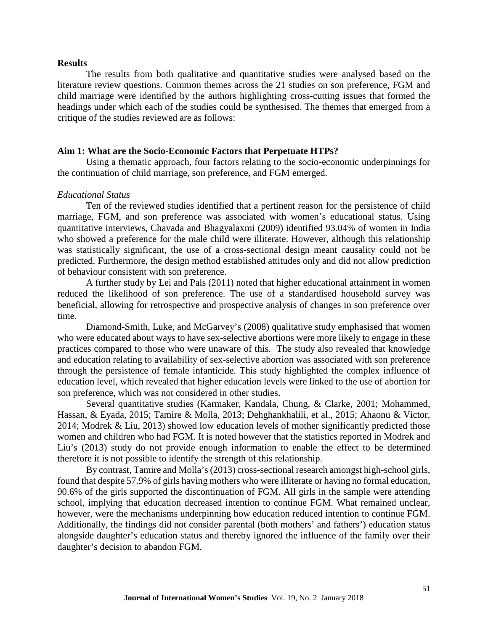#### **Results**

The results from both qualitative and quantitative studies were analysed based on the literature review questions. Common themes across the 21 studies on son preference, FGM and child marriage were identified by the authors highlighting cross-cutting issues that formed the headings under which each of the studies could be synthesised. The themes that emerged from a critique of the studies reviewed are as follows:

#### **Aim 1: What are the Socio-Economic Factors that Perpetuate HTPs?**

Using a thematic approach, four factors relating to the socio-economic underpinnings for the continuation of child marriage, son preference, and FGM emerged.

#### *Educational Status*

Ten of the reviewed studies identified that a pertinent reason for the persistence of child marriage, FGM, and son preference was associated with women's educational status. Using quantitative interviews, Chavada and Bhagyalaxmi (2009) identified 93.04% of women in India who showed a preference for the male child were illiterate. However, although this relationship was statistically significant, the use of a cross-sectional design meant causality could not be predicted. Furthermore, the design method established attitudes only and did not allow prediction of behaviour consistent with son preference.

A further study by Lei and Pals (2011) noted that higher educational attainment in women reduced the likelihood of son preference. The use of a standardised household survey was beneficial, allowing for retrospective and prospective analysis of changes in son preference over time.

Diamond-Smith, Luke, and McGarvey's (2008) qualitative study emphasised that women who were educated about ways to have sex-selective abortions were more likely to engage in these practices compared to those who were unaware of this. The study also revealed that knowledge and education relating to availability of sex-selective abortion was associated with son preference through the persistence of female infanticide. This study highlighted the complex influence of education level, which revealed that higher education levels were linked to the use of abortion for son preference, which was not considered in other studies.

Several quantitative studies (Karmaker, Kandala, Chung, & Clarke, 2001; Mohammed, Hassan, & Eyada, 2015; Tamire & Molla, 2013; Dehghankhalili, et al., 2015; Ahaonu & Victor, 2014; Modrek & Liu, 2013) showed low education levels of mother significantly predicted those women and children who had FGM. It is noted however that the statistics reported in Modrek and Liu's (2013) study do not provide enough information to enable the effect to be determined therefore it is not possible to identify the strength of this relationship.

By contrast, Tamire and Molla's (2013) cross-sectional research amongst high-school girls, found that despite 57.9% of girls having mothers who were illiterate or having no formal education, 90.6% of the girls supported the discontinuation of FGM. All girls in the sample were attending school, implying that education decreased intention to continue FGM. What remained unclear, however, were the mechanisms underpinning how education reduced intention to continue FGM. Additionally, the findings did not consider parental (both mothers' and fathers') education status alongside daughter's education status and thereby ignored the influence of the family over their daughter's decision to abandon FGM.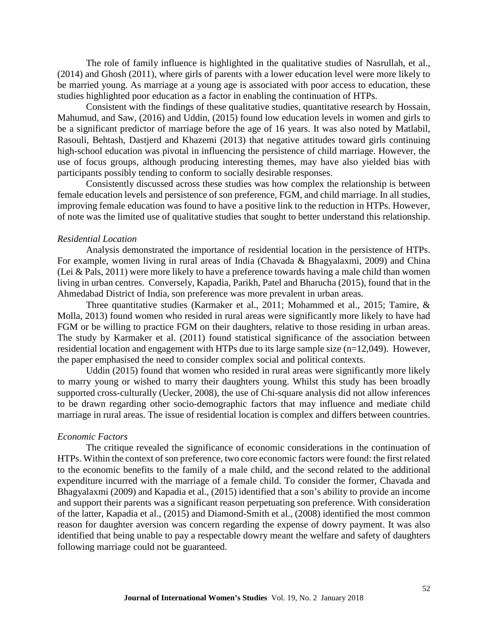The role of family influence is highlighted in the qualitative studies of Nasrullah, et al., (2014) and Ghosh (2011), where girls of parents with a lower education level were more likely to be married young. As marriage at a young age is associated with poor access to education, these studies highlighted poor education as a factor in enabling the continuation of HTPs.

Consistent with the findings of these qualitative studies, quantitative research by Hossain, Mahumud, and Saw, (2016) and Uddin, (2015) found low education levels in women and girls to be a significant predictor of marriage before the age of 16 years. It was also noted by Matlabil, Rasouli, Behtash, Dastjerd and Khazemi (2013) that negative attitudes toward girls continuing high-school education was pivotal in influencing the persistence of child marriage. However, the use of focus groups, although producing interesting themes, may have also yielded bias with participants possibly tending to conform to socially desirable responses.

Consistently discussed across these studies was how complex the relationship is between female education levels and persistence of son preference, FGM, and child marriage. In all studies, improving female education was found to have a positive link to the reduction in HTPs. However, of note was the limited use of qualitative studies that sought to better understand this relationship.

#### *Residential Location*

Analysis demonstrated the importance of residential location in the persistence of HTPs. For example, women living in rural areas of India (Chavada & Bhagyalaxmi, 2009) and China (Lei & Pals, 2011) were more likely to have a preference towards having a male child than women living in urban centres. Conversely, Kapadia, Parikh, Patel and Bharucha (2015), found that in the Ahmedabad District of India, son preference was more prevalent in urban areas.

Three quantitative studies (Karmaker et al., 2011; Mohammed et al., 2015; Tamire, & Molla, 2013) found women who resided in rural areas were significantly more likely to have had FGM or be willing to practice FGM on their daughters, relative to those residing in urban areas. The study by Karmaker et al. (2011) found statistical significance of the association between residential location and engagement with HTPs due to its large sample size (n=12,049). However, the paper emphasised the need to consider complex social and political contexts.

Uddin (2015) found that women who resided in rural areas were significantly more likely to marry young or wished to marry their daughters young. Whilst this study has been broadly supported cross-culturally (Uecker, 2008), the use of Chi-square analysis did not allow inferences to be drawn regarding other socio-demographic factors that may influence and mediate child marriage in rural areas. The issue of residential location is complex and differs between countries.

#### *Economic Factors*

The critique revealed the significance of economic considerations in the continuation of HTPs. Within the context of son preference, two core economic factors were found: the first related to the economic benefits to the family of a male child, and the second related to the additional expenditure incurred with the marriage of a female child. To consider the former, Chavada and Bhagyalaxmi (2009) and Kapadia et al., (2015) identified that a son's ability to provide an income and support their parents was a significant reason perpetuating son preference. With consideration of the latter, Kapadia et al., (2015) and Diamond-Smith et al., (2008) identified the most common reason for daughter aversion was concern regarding the expense of dowry payment. It was also identified that being unable to pay a respectable dowry meant the welfare and safety of daughters following marriage could not be guaranteed.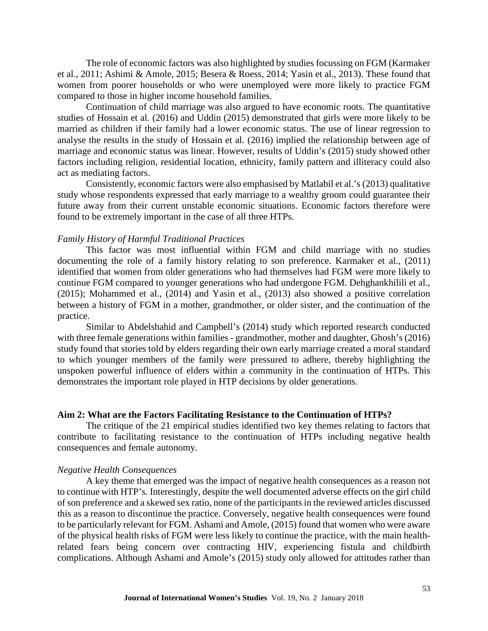The role of economic factors was also highlighted by studies focussing on FGM (Karmaker et al., 2011; Ashimi & Amole, 2015; Besera & Roess, 2014; Yasin et al., 2013). These found that women from poorer households or who were unemployed were more likely to practice FGM compared to those in higher income household families.

Continuation of child marriage was also argued to have economic roots. The quantitative studies of Hossain et al. (2016) and Uddin (2015) demonstrated that girls were more likely to be married as children if their family had a lower economic status. The use of linear regression to analyse the results in the study of Hossain et al. (2016) implied the relationship between age of marriage and economic status was linear. However, results of Uddin's (2015) study showed other factors including religion, residential location, ethnicity, family pattern and illiteracy could also act as mediating factors.

Consistently, economic factors were also emphasised by Matlabil et al.'s (2013) qualitative study whose respondents expressed that early marriage to a wealthy groom could guarantee their future away from their current unstable economic situations. Economic factors therefore were found to be extremely important in the case of all three HTPs.

#### *Family History of Harmful Traditional Practices*

This factor was most influential within FGM and child marriage with no studies documenting the role of a family history relating to son preference. Karmaker et al., (2011) identified that women from older generations who had themselves had FGM were more likely to continue FGM compared to younger generations who had undergone FGM. Dehghankhilili et al., (2015); Mohammed et al., (2014) and Yasin et al., (2013) also showed a positive correlation between a history of FGM in a mother, grandmother, or older sister, and the continuation of the practice.

Similar to Abdelshahid and Campbell's (2014) study which reported research conducted with three female generations within families - grandmother, mother and daughter, Ghosh's (2016) study found that stories told by elders regarding their own early marriage created a moral standard to which younger members of the family were pressured to adhere, thereby highlighting the unspoken powerful influence of elders within a community in the continuation of HTPs. This demonstrates the important role played in HTP decisions by older generations.

#### **Aim 2: What are the Factors Facilitating Resistance to the Continuation of HTPs?**

The critique of the 21 empirical studies identified two key themes relating to factors that contribute to facilitating resistance to the continuation of HTPs including negative health consequences and female autonomy.

#### *Negative Health Consequences*

A key theme that emerged was the impact of negative health consequences as a reason not to continue with HTP's. Interestingly, despite the well documented adverse effects on the girl child of son preference and a skewed sex ratio, none of the participants in the reviewed articles discussed this as a reason to discontinue the practice. Conversely, negative health consequences were found to be particularly relevant for FGM. Ashami and Amole, (2015) found that women who were aware of the physical health risks of FGM were less likely to continue the practice, with the main healthrelated fears being concern over contracting HIV, experiencing fistula and childbirth complications. Although Ashami and Amole's (2015) study only allowed for attitudes rather than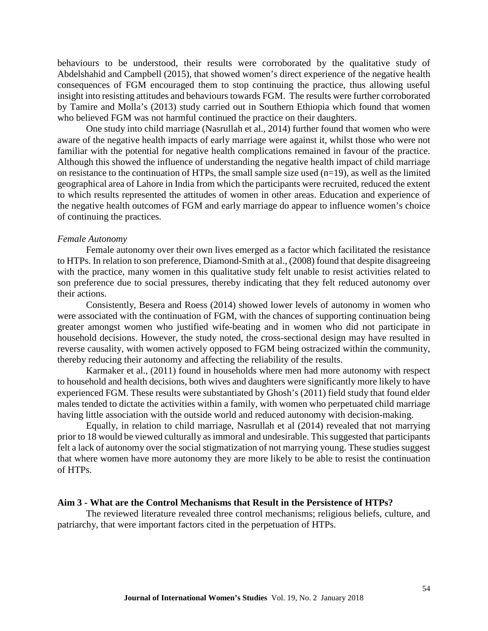behaviours to be understood, their results were corroborated by the qualitative study of Abdelshahid and Campbell (2015), that showed women's direct experience of the negative health consequences of FGM encouraged them to stop continuing the practice, thus allowing useful insight into resisting attitudes and behaviours towards FGM. The results were further corroborated by Tamire and Molla's (2013) study carried out in Southern Ethiopia which found that women who believed FGM was not harmful continued the practice on their daughters.

One study into child marriage (Nasrullah et al., 2014) further found that women who were aware of the negative health impacts of early marriage were against it, whilst those who were not familiar with the potential for negative health complications remained in favour of the practice. Although this showed the influence of understanding the negative health impact of child marriage on resistance to the continuation of HTPs, the small sample size used  $(n=19)$ , as well as the limited geographical area of Lahore in India from which the participants were recruited, reduced the extent to which results represented the attitudes of women in other areas. Education and experience of the negative health outcomes of FGM and early marriage do appear to influence women's choice of continuing the practices.

#### *Female Autonomy*

Female autonomy over their own lives emerged as a factor which facilitated the resistance to HTPs. In relation to son preference, Diamond-Smith at al., (2008) found that despite disagreeing with the practice, many women in this qualitative study felt unable to resist activities related to son preference due to social pressures, thereby indicating that they felt reduced autonomy over their actions.

Consistently, Besera and Roess (2014) showed lower levels of autonomy in women who were associated with the continuation of FGM, with the chances of supporting continuation being greater amongst women who justified wife-beating and in women who did not participate in household decisions. However, the study noted, the cross-sectional design may have resulted in reverse causality, with women actively opposed to FGM being ostracized within the community, thereby reducing their autonomy and affecting the reliability of the results.

Karmaker et al., (2011) found in households where men had more autonomy with respect to household and health decisions, both wives and daughters were significantly more likely to have experienced FGM. These results were substantiated by Ghosh's (2011) field study that found elder males tended to dictate the activities within a family, with women who perpetuated child marriage having little association with the outside world and reduced autonomy with decision-making.

Equally, in relation to child marriage, Nasrullah et al (2014) revealed that not marrying prior to 18 would be viewed culturally asimmoral and undesirable. This suggested that participants felt a lack of autonomy over the social stigmatization of not marrying young. These studies suggest that where women have more autonomy they are more likely to be able to resist the continuation of HTPs.

#### **Aim 3 - What are the Control Mechanisms that Result in the Persistence of HTPs?**

The reviewed literature revealed three control mechanisms; religious beliefs, culture, and patriarchy, that were important factors cited in the perpetuation of HTPs.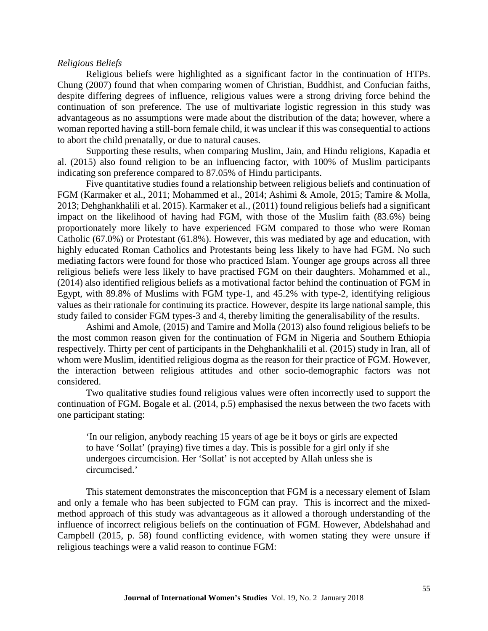#### *Religious Beliefs*

Religious beliefs were highlighted as a significant factor in the continuation of HTPs. Chung (2007) found that when comparing women of Christian, Buddhist, and Confucian faiths, despite differing degrees of influence, religious values were a strong driving force behind the continuation of son preference. The use of multivariate logistic regression in this study was advantageous as no assumptions were made about the distribution of the data; however, where a woman reported having a still-born female child, it was unclear if this was consequential to actions to abort the child prenatally, or due to natural causes.

Supporting these results, when comparing Muslim, Jain, and Hindu religions, Kapadia et al. (2015) also found religion to be an influencing factor, with 100% of Muslim participants indicating son preference compared to 87.05% of Hindu participants.

Five quantitative studies found a relationship between religious beliefs and continuation of FGM (Karmaker et al., 2011; Mohammed et al., 2014; Ashimi & Amole, 2015; Tamire & Molla, 2013; Dehghankhalili et al. 2015). Karmaker et al., (2011) found religious beliefs had a significant impact on the likelihood of having had FGM, with those of the Muslim faith (83.6%) being proportionately more likely to have experienced FGM compared to those who were Roman Catholic (67.0%) or Protestant (61.8%). However, this was mediated by age and education, with highly educated Roman Catholics and Protestants being less likely to have had FGM. No such mediating factors were found for those who practiced Islam. Younger age groups across all three religious beliefs were less likely to have practised FGM on their daughters. Mohammed et al., (2014) also identified religious beliefs as a motivational factor behind the continuation of FGM in Egypt, with 89.8% of Muslims with FGM type-1, and 45.2% with type-2, identifying religious values as their rationale for continuing its practice. However, despite its large national sample, this study failed to consider FGM types-3 and 4, thereby limiting the generalisability of the results.

Ashimi and Amole, (2015) and Tamire and Molla (2013) also found religious beliefs to be the most common reason given for the continuation of FGM in Nigeria and Southern Ethiopia respectively. Thirty per cent of participants in the Dehghankhalili et al. (2015) study in Iran, all of whom were Muslim, identified religious dogma as the reason for their practice of FGM. However, the interaction between religious attitudes and other socio-demographic factors was not considered.

Two qualitative studies found religious values were often incorrectly used to support the continuation of FGM. Bogale et al. (2014, p.5) emphasised the nexus between the two facets with one participant stating:

'In our religion, anybody reaching 15 years of age be it boys or girls are expected to have 'Sollat' (praying) five times a day. This is possible for a girl only if she undergoes circumcision. Her 'Sollat' is not accepted by Allah unless she is circumcised.'

This statement demonstrates the misconception that FGM is a necessary element of Islam and only a female who has been subjected to FGM can pray. This is incorrect and the mixedmethod approach of this study was advantageous as it allowed a thorough understanding of the influence of incorrect religious beliefs on the continuation of FGM. However, Abdelshahad and Campbell (2015, p. 58) found conflicting evidence, with women stating they were unsure if religious teachings were a valid reason to continue FGM: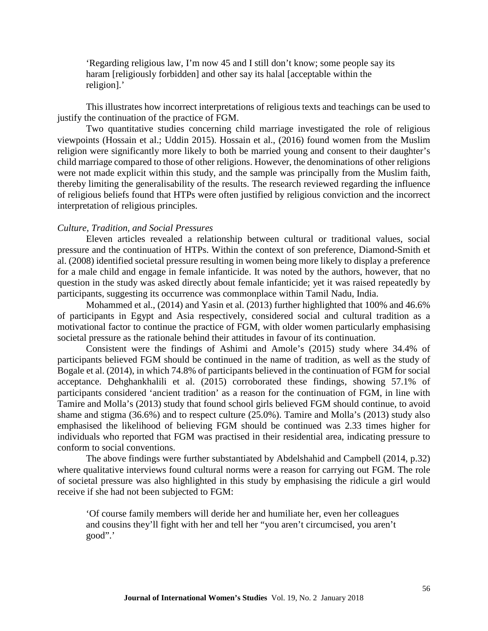'Regarding religious law, I'm now 45 and I still don't know; some people say its haram [religiously forbidden] and other say its halal [acceptable within the religion].'

This illustrates how incorrect interpretations of religious texts and teachings can be used to justify the continuation of the practice of FGM.

Two quantitative studies concerning child marriage investigated the role of religious viewpoints (Hossain et al.; Uddin 2015). Hossain et al., (2016) found women from the Muslim religion were significantly more likely to both be married young and consent to their daughter's child marriage compared to those of other religions. However, the denominations of other religions were not made explicit within this study, and the sample was principally from the Muslim faith, thereby limiting the generalisability of the results. The research reviewed regarding the influence of religious beliefs found that HTPs were often justified by religious conviction and the incorrect interpretation of religious principles.

### *Culture, Tradition, and Social Pressures*

Eleven articles revealed a relationship between cultural or traditional values, social pressure and the continuation of HTPs. Within the context of son preference, Diamond-Smith et al. (2008) identified societal pressure resulting in women being more likely to display a preference for a male child and engage in female infanticide. It was noted by the authors, however, that no question in the study was asked directly about female infanticide; yet it was raised repeatedly by participants, suggesting its occurrence was commonplace within Tamil Nadu, India.

Mohammed et al., (2014) and Yasin et al. (2013) further highlighted that 100% and 46.6% of participants in Egypt and Asia respectively, considered social and cultural tradition as a motivational factor to continue the practice of FGM, with older women particularly emphasising societal pressure as the rationale behind their attitudes in favour of its continuation.

Consistent were the findings of Ashimi and Amole's (2015) study where 34.4% of participants believed FGM should be continued in the name of tradition, as well as the study of Bogale et al. (2014), in which 74.8% of participants believed in the continuation of FGM for social acceptance. Dehghankhalili et al. (2015) corroborated these findings, showing 57.1% of participants considered 'ancient tradition' as a reason for the continuation of FGM, in line with Tamire and Molla's (2013) study that found school girls believed FGM should continue, to avoid shame and stigma (36.6%) and to respect culture (25.0%). Tamire and Molla's (2013) study also emphasised the likelihood of believing FGM should be continued was 2.33 times higher for individuals who reported that FGM was practised in their residential area, indicating pressure to conform to social conventions.

The above findings were further substantiated by Abdelshahid and Campbell (2014, p.32) where qualitative interviews found cultural norms were a reason for carrying out FGM. The role of societal pressure was also highlighted in this study by emphasising the ridicule a girl would receive if she had not been subjected to FGM:

'Of course family members will deride her and humiliate her, even her colleagues and cousins they'll fight with her and tell her "you aren't circumcised, you aren't good".'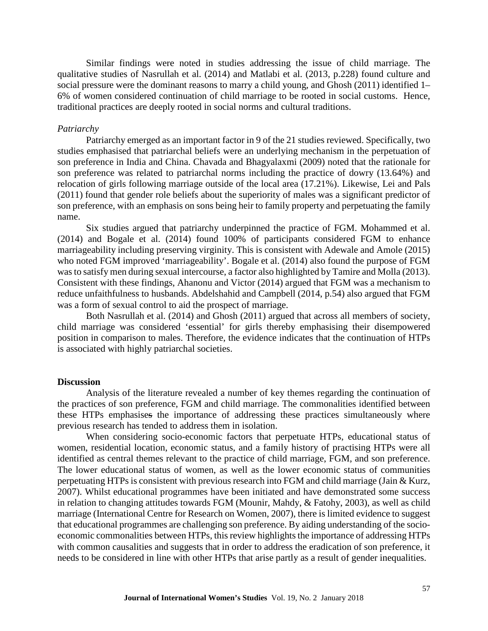Similar findings were noted in studies addressing the issue of child marriage. The qualitative studies of Nasrullah et al. (2014) and Matlabi et al. (2013, p.228) found culture and social pressure were the dominant reasons to marry a child young, and Ghosh (2011) identified 1– 6% of women considered continuation of child marriage to be rooted in social customs. Hence, traditional practices are deeply rooted in social norms and cultural traditions.

#### *Patriarchy*

Patriarchy emerged as an important factor in 9 of the 21 studies reviewed. Specifically, two studies emphasised that patriarchal beliefs were an underlying mechanism in the perpetuation of son preference in India and China. Chavada and Bhagyalaxmi (2009) noted that the rationale for son preference was related to patriarchal norms including the practice of dowry (13.64%) and relocation of girls following marriage outside of the local area (17.21%). Likewise, Lei and Pals (2011) found that gender role beliefs about the superiority of males was a significant predictor of son preference, with an emphasis on sons being heir to family property and perpetuating the family name.

Six studies argued that patriarchy underpinned the practice of FGM. Mohammed et al. (2014) and Bogale et al. (2014) found 100% of participants considered FGM to enhance marriageability including preserving virginity. This is consistent with Adewale and Amole (2015) who noted FGM improved 'marriageability'. Bogale et al. (2014) also found the purpose of FGM was to satisfy men during sexual intercourse, a factor also highlighted by Tamire and Molla (2013). Consistent with these findings, Ahanonu and Victor (2014) argued that FGM was a mechanism to reduce unfaithfulness to husbands. Abdelshahid and Campbell (2014, p.54) also argued that FGM was a form of sexual control to aid the prospect of marriage.

Both Nasrullah et al. (2014) and Ghosh (2011) argued that across all members of society, child marriage was considered 'essential' for girls thereby emphasising their disempowered position in comparison to males. Therefore, the evidence indicates that the continuation of HTPs is associated with highly patriarchal societies.

#### **Discussion**

Analysis of the literature revealed a number of key themes regarding the continuation of the practices of son preference, FGM and child marriage. The commonalities identified between these HTPs emphasises the importance of addressing these practices simultaneously where previous research has tended to address them in isolation.

When considering socio-economic factors that perpetuate HTPs, educational status of women, residential location, economic status, and a family history of practising HTPs were all identified as central themes relevant to the practice of child marriage, FGM, and son preference. The lower educational status of women, as well as the lower economic status of communities perpetuating HTPs is consistent with previous research into FGM and child marriage (Jain & Kurz, 2007). Whilst educational programmes have been initiated and have demonstrated some success in relation to changing attitudes towards FGM (Mounir, Mahdy, & Fatohy, 2003), as well as child marriage (International Centre for Research on Women, 2007), there is limited evidence to suggest that educational programmes are challenging son preference. By aiding understanding of the socioeconomic commonalities between HTPs, this review highlights the importance of addressing HTPs with common causalities and suggests that in order to address the eradication of son preference, it needs to be considered in line with other HTPs that arise partly as a result of gender inequalities.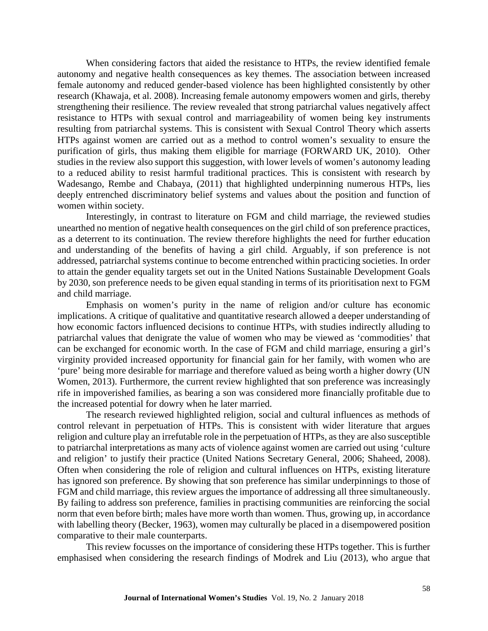When considering factors that aided the resistance to HTPs, the review identified female autonomy and negative health consequences as key themes. The association between increased female autonomy and reduced gender-based violence has been highlighted consistently by other research (Khawaja, et al. 2008). Increasing female autonomy empowers women and girls, thereby strengthening their resilience. The review revealed that strong patriarchal values negatively affect resistance to HTPs with sexual control and marriageability of women being key instruments resulting from patriarchal systems. This is consistent with Sexual Control Theory which asserts HTPs against women are carried out as a method to control women's sexuality to ensure the purification of girls, thus making them eligible for marriage (FORWARD UK, 2010). Other studies in the review also support this suggestion, with lower levels of women's autonomy leading to a reduced ability to resist harmful traditional practices. This is consistent with research by Wadesango, Rembe and Chabaya, (2011) that highlighted underpinning numerous HTPs, lies deeply entrenched discriminatory belief systems and values about the position and function of women within society.

Interestingly, in contrast to literature on FGM and child marriage, the reviewed studies unearthed no mention of negative health consequences on the girl child of son preference practices, as a deterrent to its continuation. The review therefore highlights the need for further education and understanding of the benefits of having a girl child. Arguably, if son preference is not addressed, patriarchal systems continue to become entrenched within practicing societies. In order to attain the gender equality targets set out in the United Nations Sustainable Development Goals by 2030, son preference needs to be given equal standing in terms of its prioritisation next to FGM and child marriage.

Emphasis on women's purity in the name of religion and/or culture has economic implications. A critique of qualitative and quantitative research allowed a deeper understanding of how economic factors influenced decisions to continue HTPs, with studies indirectly alluding to patriarchal values that denigrate the value of women who may be viewed as 'commodities' that can be exchanged for economic worth. In the case of FGM and child marriage, ensuring a girl's virginity provided increased opportunity for financial gain for her family, with women who are 'pure' being more desirable for marriage and therefore valued as being worth a higher dowry (UN Women, 2013). Furthermore, the current review highlighted that son preference was increasingly rife in impoverished families, as bearing a son was considered more financially profitable due to the increased potential for dowry when he later married.

The research reviewed highlighted religion, social and cultural influences as methods of control relevant in perpetuation of HTPs. This is consistent with wider literature that argues religion and culture play an irrefutable role in the perpetuation of HTPs, as they are also susceptible to patriarchal interpretations as many acts of violence against women are carried out using 'culture and religion' to justify their practice (United Nations Secretary General, 2006; Shaheed, 2008). Often when considering the role of religion and cultural influences on HTPs, existing literature has ignored son preference. By showing that son preference has similar underpinnings to those of FGM and child marriage, this review argues the importance of addressing all three simultaneously. By failing to address son preference, families in practising communities are reinforcing the social norm that even before birth; males have more worth than women. Thus, growing up, in accordance with labelling theory (Becker, 1963), women may culturally be placed in a disempowered position comparative to their male counterparts.

This review focusses on the importance of considering these HTPs together. This is further emphasised when considering the research findings of Modrek and Liu (2013), who argue that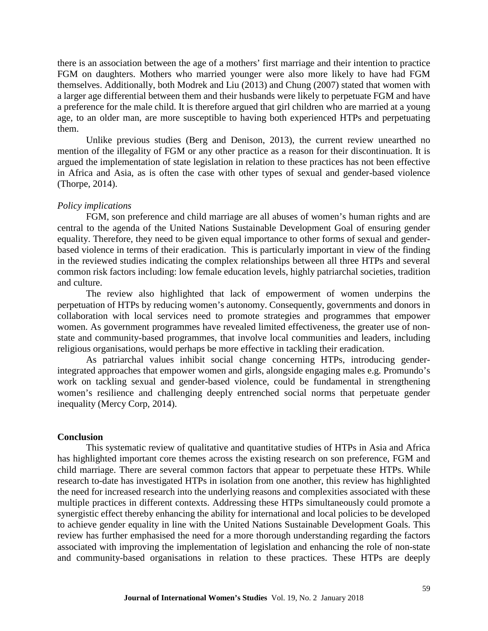there is an association between the age of a mothers' first marriage and their intention to practice FGM on daughters. Mothers who married younger were also more likely to have had FGM themselves. Additionally, both Modrek and Liu (2013) and Chung (2007) stated that women with a larger age differential between them and their husbands were likely to perpetuate FGM and have a preference for the male child. It is therefore argued that girl children who are married at a young age, to an older man, are more susceptible to having both experienced HTPs and perpetuating them.

Unlike previous studies (Berg and Denison, 2013), the current review unearthed no mention of the illegality of FGM or any other practice as a reason for their discontinuation. It is argued the implementation of state legislation in relation to these practices has not been effective in Africa and Asia, as is often the case with other types of sexual and gender-based violence (Thorpe, 2014).

#### *Policy implications*

FGM, son preference and child marriage are all abuses of women's human rights and are central to the agenda of the United Nations Sustainable Development Goal of ensuring gender equality. Therefore, they need to be given equal importance to other forms of sexual and genderbased violence in terms of their eradication. This is particularly important in view of the finding in the reviewed studies indicating the complex relationships between all three HTPs and several common risk factors including: low female education levels, highly patriarchal societies, tradition and culture.

The review also highlighted that lack of empowerment of women underpins the perpetuation of HTPs by reducing women's autonomy. Consequently, governments and donors in collaboration with local services need to promote strategies and programmes that empower women. As government programmes have revealed limited effectiveness, the greater use of nonstate and community-based programmes, that involve local communities and leaders, including religious organisations, would perhaps be more effective in tackling their eradication.

As patriarchal values inhibit social change concerning HTPs, introducing genderintegrated approaches that empower women and girls, alongside engaging males e.g. Promundo's work on tackling sexual and gender-based violence, could be fundamental in strengthening women's resilience and challenging deeply entrenched social norms that perpetuate gender inequality (Mercy Corp, 2014).

#### **Conclusion**

This systematic review of qualitative and quantitative studies of HTPs in Asia and Africa has highlighted important core themes across the existing research on son preference, FGM and child marriage. There are several common factors that appear to perpetuate these HTPs. While research to-date has investigated HTPs in isolation from one another, this review has highlighted the need for increased research into the underlying reasons and complexities associated with these multiple practices in different contexts. Addressing these HTPs simultaneously could promote a synergistic effect thereby enhancing the ability for international and local policies to be developed to achieve gender equality in line with the United Nations Sustainable Development Goals. This review has further emphasised the need for a more thorough understanding regarding the factors associated with improving the implementation of legislation and enhancing the role of non-state and community-based organisations in relation to these practices. These HTPs are deeply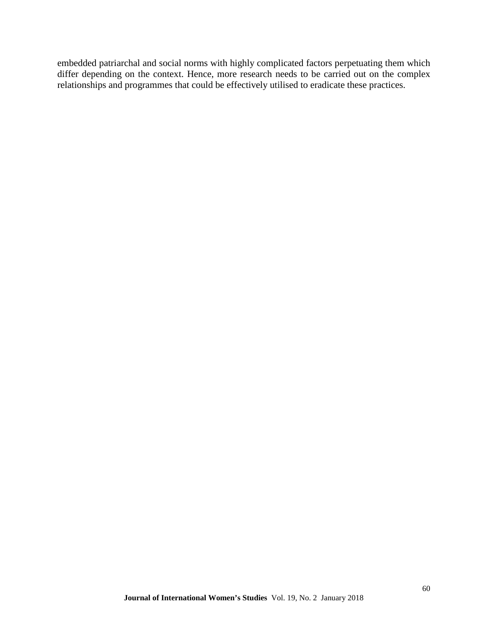embedded patriarchal and social norms with highly complicated factors perpetuating them which differ depending on the context. Hence, more research needs to be carried out on the complex relationships and programmes that could be effectively utilised to eradicate these practices.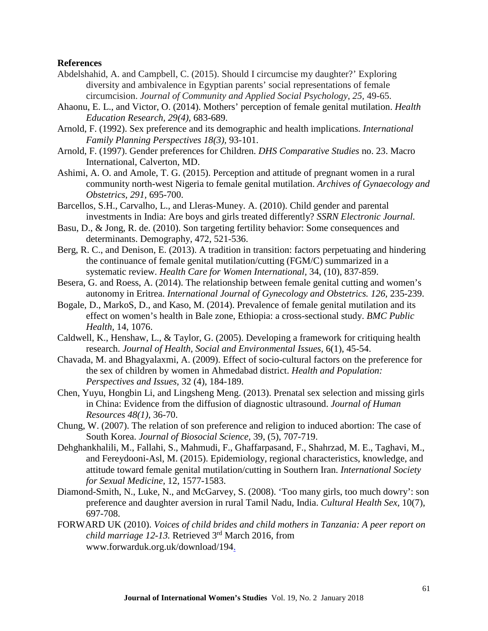#### **References**

- Abdelshahid, A. and Campbell, C. (2015). Should I circumcise my daughter?' Exploring diversity and ambivalence in Egyptian parents' social representations of female circumcision. *Journal of Community and Applied Social Psychology*, *25,* 49-65.
- Ahaonu, E. L., and Victor, O. (2014). Mothers' perception of female genital mutilation. *Health Education Research, 29(4),* 683-689.
- Arnold, F. (1992). Sex preference and its demographic and health implications. *International Family Planning Perspectives 18(3),* 93-101.
- Arnold, F. (1997). Gender preferences for Children. *DHS Comparative Studies* no. 23. Macro International, Calverton, MD.
- Ashimi, A. O. and Amole, T. G. (2015). Perception and attitude of pregnant women in a rural community north-west Nigeria to female genital mutilation. *Archives of Gynaecology and Obstetrics, 291,* 695-700.
- Barcellos, S.H., Carvalho, L., and Lleras-Muney. A. (2010). Child gender and parental investments in India: Are boys and girls treated differently? *SSRN Electronic Journal.*
- Basu, D., & Jong, R. de. (2010). Son targeting fertility behavior: Some consequences and determinants. Demography, 472, 521-536.
- Berg, R. C., and Denison, E. (2013). A tradition in transition: factors perpetuating and hindering the continuance of female genital mutilation/cutting (FGM/C) summarized in a systematic review. *Health Care for Women International,* 34, (10), 837-859.
- Besera, G. and Roess, A. (2014). The relationship between female genital cutting and women's autonomy in Eritrea. *International Journal of Gynecology and Obstetrics.* 126, 235-239.
- Bogale, D., MarkoS, D., and Kaso, M. (2014). Prevalence of female genital mutilation and its effect on women's health in Bale zone, Ethiopia: a cross-sectional study. *BMC Public Health,* 14, 1076.
- Caldwell, K., Henshaw, L., & Taylor, G. (2005). Developing a framework for critiquing health research. *Journal of Health, Social and Environmental Issues,* 6(1), 45-54.
- Chavada, M. and Bhagyalaxmi, A. (2009). Effect of socio-cultural factors on the preference for the sex of children by women in Ahmedabad district. *Health and Population: Perspectives and Issues,* 32 (4), 184-189.
- Chen, Yuyu, Hongbin Li, and Lingsheng Meng. (2013). Prenatal sex selection and missing girls in China: Evidence from the diffusion of diagnostic ultrasound. *Journal of Human Resources 48(1),* 36-70.
- Chung, W. (2007). The relation of son preference and religion to induced abortion: The case of South Korea. *Journal of Biosocial Science,* 39, (5), 707-719.
- Dehghankhalili, M., Fallahi, S., Mahmudi, F., Ghaffarpasand, F., Shahrzad, M. E., Taghavi, M., and Fereydooni-Asl, M. (2015). Epidemiology, regional characteristics, knowledge, and attitude toward female genital mutilation/cutting in Southern Iran. *International Society for Sexual Medicine,* 12, 1577-1583.
- Diamond-Smith, N., Luke, N., and McGarvey, S. (2008). 'Too many girls, too much dowry': son preference and daughter aversion in rural Tamil Nadu, India. *Cultural Health Sex,* 10(7), 697-708.
- FORWARD UK (2010). *Voices of child brides and child mothers in Tanzania: A peer report on child marriage 12-13.* Retrieved 3rd March 2016, from www.forwarduk.org.uk/download/194.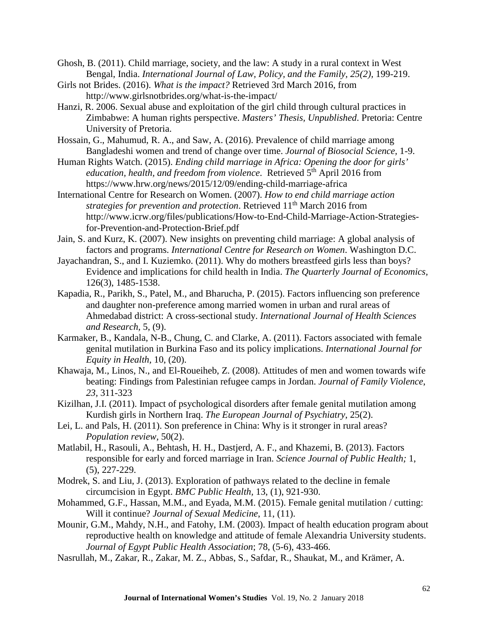Ghosh, B. (2011). Child marriage, society, and the law: A study in a rural context in West Bengal, India. *International Journal of Law, Policy, and the Family, 25(2), 199-219.* 

- Girls not Brides. (2016). *What is the impact?* Retrieved 3rd March 2016, from http://www.girlsnotbrides.org/what-is-the-impact/
- Hanzi, R. 2006. Sexual abuse and exploitation of the girl child through cultural practices in Zimbabwe: A human rights perspective. *Masters' Thesis, Unpublished*. Pretoria: Centre University of Pretoria.
- Hossain, G., Mahumud, R. A., and Saw, A. (2016). Prevalence of child marriage among Bangladeshi women and trend of change over time. *Journal of Biosocial Science,* 1-9.
- Human Rights Watch. (2015). *Ending child marriage in Africa: Opening the door for girls'*  education, health, and freedom from violence. Retrieved 5<sup>th</sup> April 2016 from https://www.hrw.org/news/2015/12/09/ending-child-marriage-africa
- International Centre for Research on Women. (2007). *How to end child marriage action strategies for prevention and protection.* Retrieved 11<sup>th</sup> March 2016 from http://www.icrw.org/files/publications/How-to-End-Child-Marriage-Action-Strategiesfor-Prevention-and-Protection-Brief.pdf
- Jain, S. and Kurz, K. (2007). New insights on preventing child marriage: A global analysis of factors and programs. *International Centre for Research on Women*. Washington D.C.
- Jayachandran, S., and I. Kuziemko. (2011). Why do mothers breastfeed girls less than boys? Evidence and implications for child health in India. *The Quarterly Journal of Economics,* 126(3), 1485-1538.
- Kapadia, R., Parikh, S., Patel, M., and Bharucha, P. (2015). Factors influencing son preference and daughter non-preference among married women in urban and rural areas of Ahmedabad district: A cross-sectional study. *International Journal of Health Sciences and Research,* 5, (9).
- Karmaker, B., Kandala, N-B., Chung, C. and Clarke, A. (2011). Factors associated with female genital mutilation in Burkina Faso and its policy implications. *International Journal for Equity in Health,* 10, (20).
- Khawaja, M., Linos, N., and El-Roueiheb, Z. (2008). Attitudes of men and women towards wife beating: Findings from Palestinian refugee camps in Jordan. *Journal of Family Violence*, *23,* 311-323
- Kizilhan, J.I. (2011). Impact of psychological disorders after female genital mutilation among Kurdish girls in Northern Iraq. *The European Journal of Psychiatry*, 25(2).
- Lei, L. and Pals, H. (2011). Son preference in China: Why is it stronger in rural areas? *Population review,* 50(2).
- Matlabil, H., Rasouli, A., Behtash, H. H., Dastjerd, A. F., and Khazemi, B. (2013). Factors responsible for early and forced marriage in Iran. *Science Journal of Public Health;* 1, (5), 227-229.
- Modrek, S. and Liu, J. (2013). Exploration of pathways related to the decline in female circumcision in Egypt. *BMC Public Health,* 13, (1), 921-930.
- Mohammed, G.F., Hassan, M.M., and Eyada, M.M. (2015). Female genital mutilation / cutting: Will it continue? *Journal of Sexual Medicine*, 11, (11).
- Mounir, G.M., Mahdy, N.H., and Fatohy, I.M. (2003). Impact of health education program about reproductive health on knowledge and attitude of female Alexandria University students. *Journal of Egypt Public Health Association*; 78, (5-6), 433-466.
- Nasrullah, M., Zakar, R., Zakar, M. Z., Abbas, S., Safdar, R., Shaukat, M., and Krämer, A.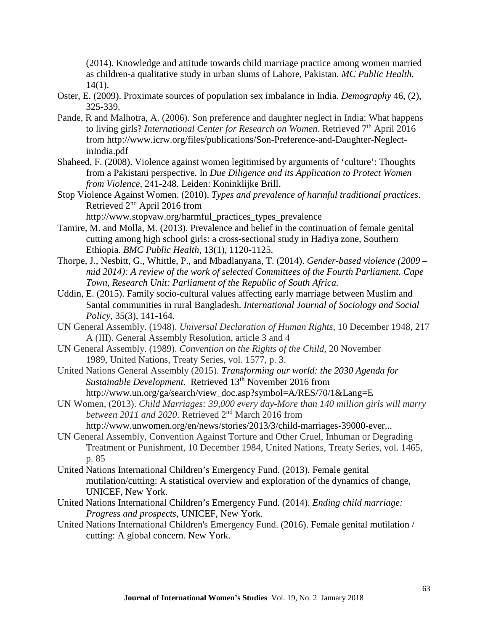(2014). Knowledge and attitude towards child marriage practice among women married as children-a qualitative study in urban slums of Lahore, Pakistan. *MC Public Health,*  14(1).

- Oster, E. (2009). Proximate sources of population sex imbalance in India. *Demography* 46, (2), 325-339.
- Pande, R and Malhotra, A. (2006). Son preference and daughter neglect in India: What happens to living girls? *International Center for Research on Women*. Retrieved 7<sup>th</sup> April 2016 from http://www.icrw.org/files/publications/Son-Preference-and-Daughter-NeglectinIndia.pdf
- Shaheed, F. (2008). Violence against women legitimised by arguments of 'culture': Thoughts from a Pakistani perspective. In *Due Diligence and its Application to Protect Women from Violence*, 241-248. Leiden: Koninklijke Brill.
- Stop Violence Against Women. (2010). *Types and prevalence of harmful traditional practices*. Retrieved  $2<sup>nd</sup>$  April 2016 from http://www.stopvaw.org/harmful\_practices\_types\_prevalence
- Tamire, M. and Molla, M. (2013). Prevalence and belief in the continuation of female genital cutting among high school girls: a cross-sectional study in Hadiya zone, Southern Ethiopia. *BMC Public Health,* 13(1), 1120-1125.
- Thorpe, J., Nesbitt, G., Whittle, P., and Mbadlanyana, T. (2014). *Gender-based violence (2009 – mid 2014): A review of the work of selected Committees of the Fourth Parliament. Cape Town, Research Unit: Parliament of the Republic of South Africa.*
- Uddin, E. (2015). Family socio-cultural values affecting early marriage between Muslim and Santal communities in rural Bangladesh. *International Journal of Sociology and Social Policy,* 35(3), 141-164.
- UN General Assembly. (1948). *Universal Declaration of Human Rights*, 10 December 1948, 217 A (III). General Assembly Resolution, article 3 and 4
- UN General Assembly. (1989). *Convention on the Rights of the Child*, 20 November 1989, United Nations, Treaty Series, vol. 1577, p. 3.
- United Nations General Assembly (2015). *Transforming our world: the 2030 Agenda for Sustainable Development.* Retrieved 13<sup>th</sup> November 2016 from http://www.un.org/ga/search/view\_doc.asp?symbol=A/RES/70/1&Lang=E
- UN Women, (2013). *Child Marriages: 39,000 every day-More than 140 million girls will marry between 2011 and 2020*. Retrieved 2nd March 2016 from http://www.unwomen.org/en/news/stories/2013/3/child-marriages-39000-ever...
- UN General Assembly, Convention Against Torture and Other Cruel, Inhuman or Degrading Treatment or Punishment, 10 December 1984, United Nations, Treaty Series, vol. 1465, p. 85
- United Nations International Children's Emergency Fund. (2013). Female genital mutilation/cutting: A statistical overview and exploration of the dynamics of change, UNICEF, New York.
- United Nations International Children's Emergency Fund. (2014). *Ending child marriage: Progress and prospects*, UNICEF, New York.
- United Nations International Children's Emergency Fund. (2016). Female genital mutilation / cutting: A global concern. New York.